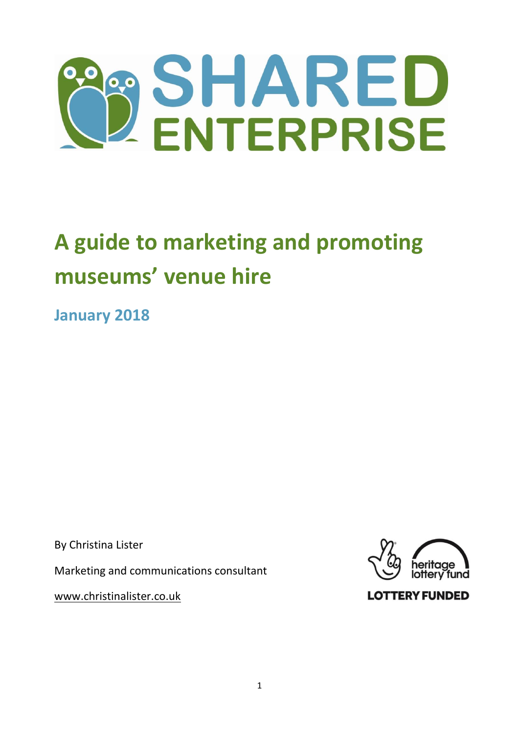

# **A guide to marketing and promoting museums' venue hire**

**January 2018**

By Christina Lister

Marketing and communications consultant

[www.christinalister.co.uk](http://www.christinalister.co.uk/)



**LOTTERY FUNDED**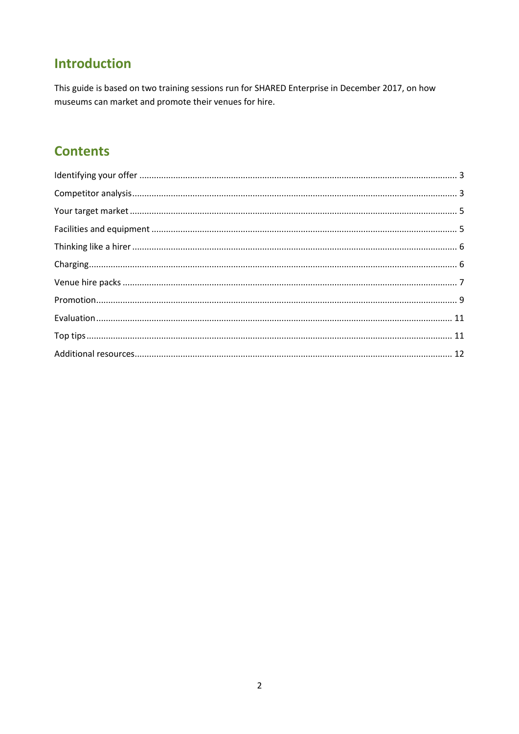## **Introduction**

This guide is based on two training sessions run for SHARED Enterprise in December 2017, on how museums can market and promote their venues for hire.

# **Contents**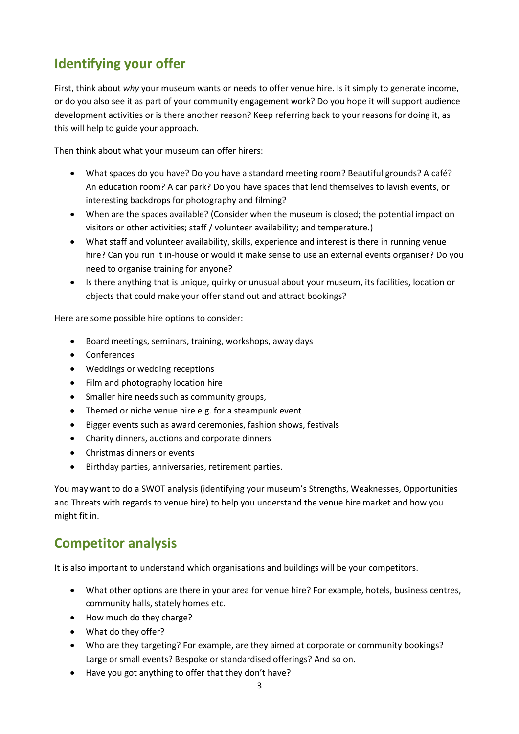# <span id="page-2-0"></span>**Identifying your offer**

First, think about *why* your museum wants or needs to offer venue hire. Is it simply to generate income, or do you also see it as part of your community engagement work? Do you hope it will support audience development activities or is there another reason? Keep referring back to your reasons for doing it, as this will help to guide your approach.

Then think about what your museum can offer hirers:

- What spaces do you have? Do you have a standard meeting room? Beautiful grounds? A café? An education room? A car park? Do you have spaces that lend themselves to lavish events, or interesting backdrops for photography and filming?
- When are the spaces available? (Consider when the museum is closed; the potential impact on visitors or other activities; staff / volunteer availability; and temperature.)
- What staff and volunteer availability, skills, experience and interest is there in running venue hire? Can you run it in-house or would it make sense to use an external events organiser? Do you need to organise training for anyone?
- Is there anything that is unique, quirky or unusual about your museum, its facilities, location or objects that could make your offer stand out and attract bookings?

Here are some possible hire options to consider:

- Board meetings, seminars, training, workshops, away days
- Conferences
- Weddings or wedding receptions
- Film and photography location hire
- Smaller hire needs such as community groups,
- Themed or niche venue hire e.g. for a steampunk event
- Bigger events such as award ceremonies, fashion shows, festivals
- Charity dinners, auctions and corporate dinners
- Christmas dinners or events
- Birthday parties, anniversaries, retirement parties.

You may want to do a SWOT analysis (identifying your museum's Strengths, Weaknesses, Opportunities and Threats with regards to venue hire) to help you understand the venue hire market and how you might fit in.

## <span id="page-2-1"></span>**Competitor analysis**

It is also important to understand which organisations and buildings will be your competitors.

- What other options are there in your area for venue hire? For example, hotels, business centres, community halls, stately homes etc.
- How much do they charge?
- What do they offer?
- Who are they targeting? For example, are they aimed at corporate or community bookings? Large or small events? Bespoke or standardised offerings? And so on.
- Have you got anything to offer that they don't have?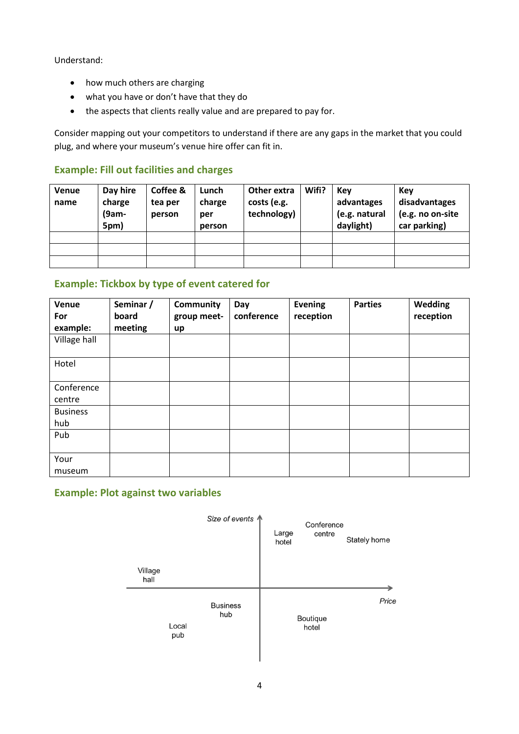Understand:

- how much others are charging
- what you have or don't have that they do
- the aspects that clients really value and are prepared to pay for.

Consider mapping out your competitors to understand if there are any gaps in the market that you could plug, and where your museum's venue hire offer can fit in.

### **Example: Fill out facilities and charges**

| Venue<br>name | Day hire<br>charge<br>$(9am -$<br>5pm) | Coffee &<br>tea per<br>person | Lunch<br>charge<br>per<br>person | Other extra<br>costs (e.g.<br>technology) | Wifi? | Kev<br>advantages<br>(e.g. natural<br>daylight) | Key<br>disadvantages<br>(e.g. no on-site<br>car parking) |
|---------------|----------------------------------------|-------------------------------|----------------------------------|-------------------------------------------|-------|-------------------------------------------------|----------------------------------------------------------|
|               |                                        |                               |                                  |                                           |       |                                                 |                                                          |
|               |                                        |                               |                                  |                                           |       |                                                 |                                                          |
|               |                                        |                               |                                  |                                           |       |                                                 |                                                          |

### **Example: Tickbox by type of event catered for**

| Venue<br>For<br>example: | Seminar /<br>board<br>meeting | Community<br>group meet-<br>up | Day<br>conference | <b>Evening</b><br>reception | <b>Parties</b> | Wedding<br>reception |
|--------------------------|-------------------------------|--------------------------------|-------------------|-----------------------------|----------------|----------------------|
| Village hall             |                               |                                |                   |                             |                |                      |
| Hotel                    |                               |                                |                   |                             |                |                      |
| Conference<br>centre     |                               |                                |                   |                             |                |                      |
| <b>Business</b><br>hub   |                               |                                |                   |                             |                |                      |
| Pub                      |                               |                                |                   |                             |                |                      |
| Your<br>museum           |                               |                                |                   |                             |                |                      |

### **Example: Plot against two variables**

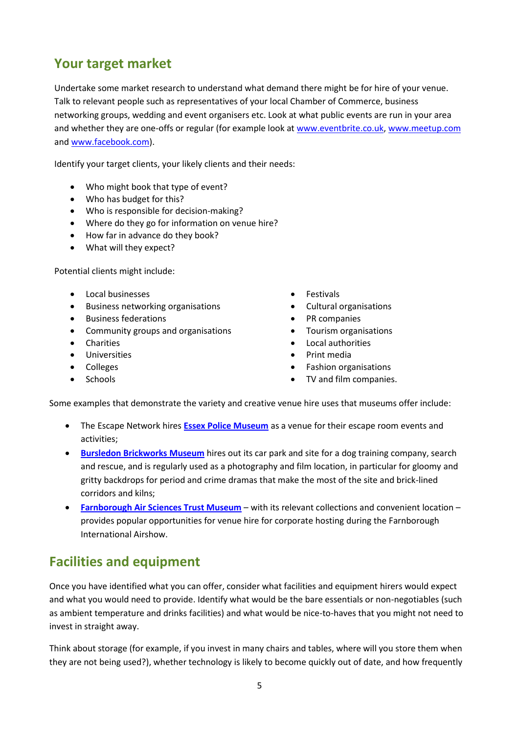# <span id="page-4-0"></span>**Your target market**

Undertake some market research to understand what demand there might be for hire of your venue. Talk to relevant people such as representatives of your local Chamber of Commerce, business networking groups, wedding and event organisers etc. Look at what public events are run in your area and whether they are one-offs or regular (for example look at [www.eventbrite.co.uk,](http://www.eventbrite.co.uk/) [www.meetup.com](http://www.meetup.com/) an[d www.facebook.com\)](http://www.facebook.com/).

Identify your target clients, your likely clients and their needs:

- Who might book that type of event?
- Who has budget for this?
- Who is responsible for decision-making?
- Where do they go for information on venue hire?
- How far in advance do they book?
- What will they expect?

Potential clients might include:

- Local businesses
- Business networking organisations
- Business federations
- Community groups and organisations
- **•** Charities
- **•** Universities
- Colleges
- **Schools**
- **•** Festivals
- Cultural organisations
- PR companies
- Tourism organisations
- Local authorities
- Print media
- Fashion organisations
- TV and film companies.

Some examples that demonstrate the variety and creative venue hire uses that museums offer include:

- The Escape Network hires **[Essex Police Museum](https://museum.essex.police.uk/)** as a venue for their escape room events and activities;
- **[Bursledon Brickworks](http://www.bursledonbrickworks.org.uk/) Museum** hires out its car park and site for a dog training company, search and rescue, and is regularly used as a photography and film location, in particular for gloomy and gritty backdrops for period and crime dramas that make the most of the site and brick-lined corridors and kilns;
- **Farnborough [Air Sciences Trust Museum](http://www.airsciences.org.uk/)** with its relevant collections and convenient location provides popular opportunities for venue hire for corporate hosting during the Farnborough International Airshow.

## <span id="page-4-1"></span>**Facilities and equipment**

Once you have identified what you can offer, consider what facilities and equipment hirers would expect and what you would need to provide. Identify what would be the bare essentials or non-negotiables (such as ambient temperature and drinks facilities) and what would be nice-to-haves that you might not need to invest in straight away.

Think about storage (for example, if you invest in many chairs and tables, where will you store them when they are not being used?), whether technology is likely to become quickly out of date, and how frequently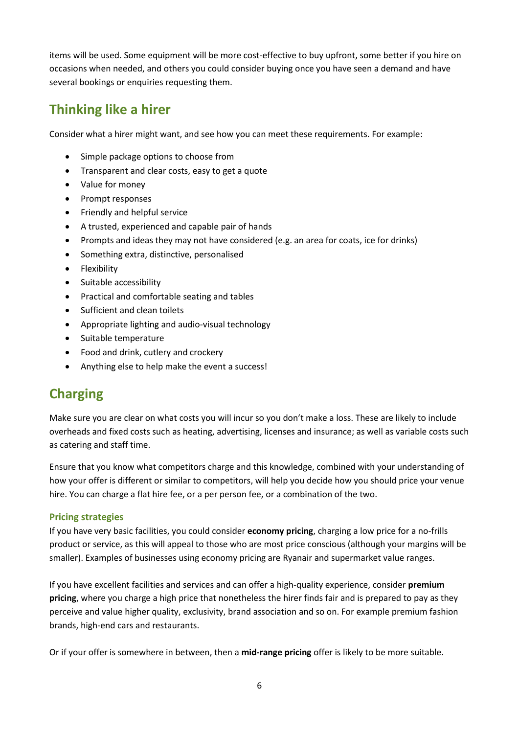items will be used. Some equipment will be more cost-effective to buy upfront, some better if you hire on occasions when needed, and others you could consider buying once you have seen a demand and have several bookings or enquiries requesting them.

# <span id="page-5-0"></span>**Thinking like a hirer**

Consider what a hirer might want, and see how you can meet these requirements. For example:

- Simple package options to choose from
- Transparent and clear costs, easy to get a quote
- Value for money
- Prompt responses
- Friendly and helpful service
- A trusted, experienced and capable pair of hands
- Prompts and ideas they may not have considered (e.g. an area for coats, ice for drinks)
- Something extra, distinctive, personalised
- Flexibility
- Suitable accessibility
- Practical and comfortable seating and tables
- Sufficient and clean toilets
- Appropriate lighting and audio-visual technology
- Suitable temperature
- Food and drink, cutlery and crockery
- Anything else to help make the event a success!

### <span id="page-5-1"></span>**Charging**

Make sure you are clear on what costs you will incur so you don't make a loss. These are likely to include overheads and fixed costs such as heating, advertising, licenses and insurance; as well as variable costs such as catering and staff time.

Ensure that you know what competitors charge and this knowledge, combined with your understanding of how your offer is different or similar to competitors, will help you decide how you should price your venue hire. You can charge a flat hire fee, or a per person fee, or a combination of the two.

#### **Pricing strategies**

If you have very basic facilities, you could consider **economy pricing**, charging a low price for a no-frills product or service, as this will appeal to those who are most price conscious (although your margins will be smaller). Examples of businesses using economy pricing are Ryanair and supermarket value ranges.

If you have excellent facilities and services and can offer a high-quality experience, consider **premium pricing**, where you charge a high price that nonetheless the hirer finds fair and is prepared to pay as they perceive and value higher quality, exclusivity, brand association and so on. For example premium fashion brands, high-end cars and restaurants.

Or if your offer is somewhere in between, then a **mid-range pricing** offer is likely to be more suitable.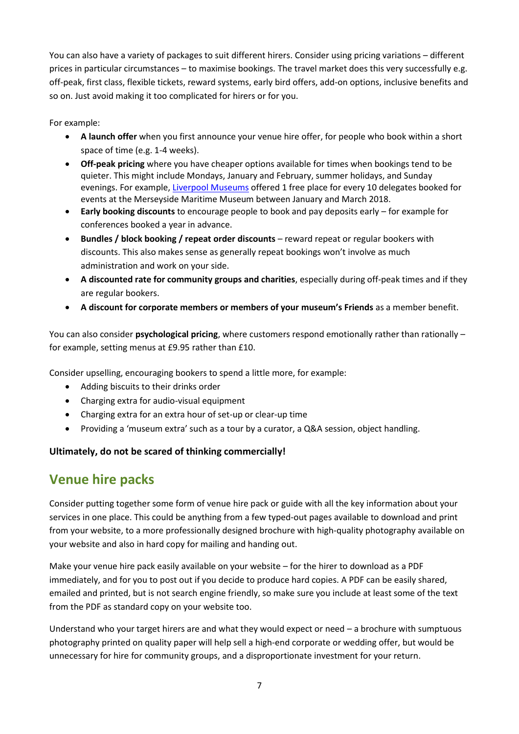You can also have a variety of packages to suit different hirers. Consider using pricing variations – different prices in particular circumstances – to maximise bookings. The travel market does this very successfully e.g. off-peak, first class, flexible tickets, reward systems, early bird offers, add-on options, inclusive benefits and so on. Just avoid making it too complicated for hirers or for you.

For example:

- **A launch offer** when you first announce your venue hire offer, for people who book within a short space of time (e.g. 1-4 weeks).
- **Off-peak pricing** where you have cheaper options available for times when bookings tend to be quieter. This might include Mondays, January and February, summer holidays, and Sunday evenings. For example, [Liverpool Museums](http://www.liverpoolmuseums.org.uk/venue-hire/) offered 1 free place for every 10 delegates booked for events at the Merseyside Maritime Museum between January and March 2018.
- **Early booking discounts** to encourage people to book and pay deposits early for example for conferences booked a year in advance.
- **Bundles / block booking / repeat order discounts** reward repeat or regular bookers with discounts. This also makes sense as generally repeat bookings won't involve as much administration and work on your side.
- **A discounted rate for community groups and charities**, especially during off-peak times and if they are regular bookers.
- **A discount for corporate members or members of your museum's Friends** as a member benefit.

You can also consider **psychological pricing**, where customers respond emotionally rather than rationally – for example, setting menus at £9.95 rather than £10.

Consider upselling, encouraging bookers to spend a little more, for example:

- Adding biscuits to their drinks order
- Charging extra for audio-visual equipment
- Charging extra for an extra hour of set-up or clear-up time
- Providing a 'museum extra' such as a tour by a curator, a Q&A session, object handling.

### **Ultimately, do not be scared of thinking commercially!**

### <span id="page-6-0"></span>**Venue hire packs**

Consider putting together some form of venue hire pack or guide with all the key information about your services in one place. This could be anything from a few typed-out pages available to download and print from your website, to a more professionally designed brochure with high-quality photography available on your website and also in hard copy for mailing and handing out.

Make your venue hire pack easily available on your website – for the hirer to download as a PDF immediately, and for you to post out if you decide to produce hard copies. A PDF can be easily shared, emailed and printed, but is not search engine friendly, so make sure you include at least some of the text from the PDF as standard copy on your website too.

Understand who your target hirers are and what they would expect or need – a brochure with sumptuous photography printed on quality paper will help sell a high-end corporate or wedding offer, but would be unnecessary for hire for community groups, and a disproportionate investment for your return.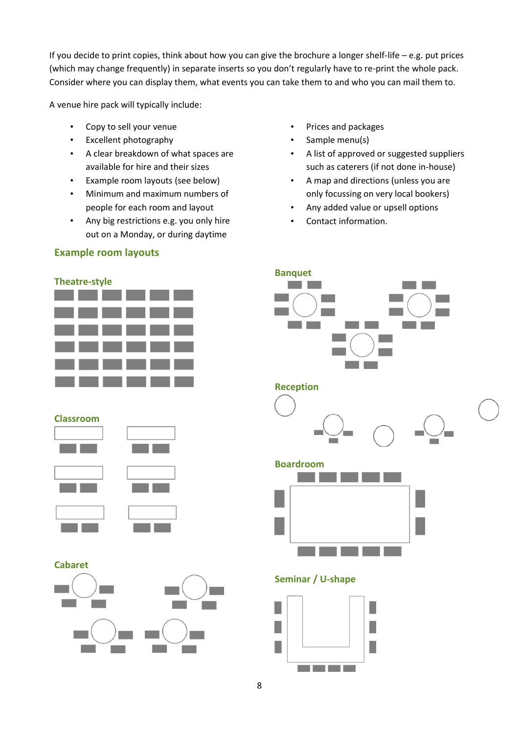If you decide to print copies, think about how you can give the brochure a longer shelf-life – e.g. put prices (which may change frequently) in separate inserts so you don't regularly have to re-print the whole pack. Consider where you can display them, what events you can take them to and who you can mail them to.

A venue hire pack will typically include:

- Copy to sell your venue
- Excellent photography
- A clear breakdown of what spaces are available for hire and their sizes
- Example room layouts (see below)
- Minimum and maximum numbers of people for each room and layout
- Any big restrictions e.g. you only hire out on a Monday, or during daytime

### **Example room layouts**

- Prices and packages
- Sample menu(s)
- A list of approved or suggested suppliers such as caterers (if not done in-house)

**Contract** 

- A map and directions (unless you are only focussing on very local bookers)
- Any added value or upsell options
- Contact information.

**Banquet**

**Contract Contract** 







#### **Cabaret**







### **Seminar / U-shape**

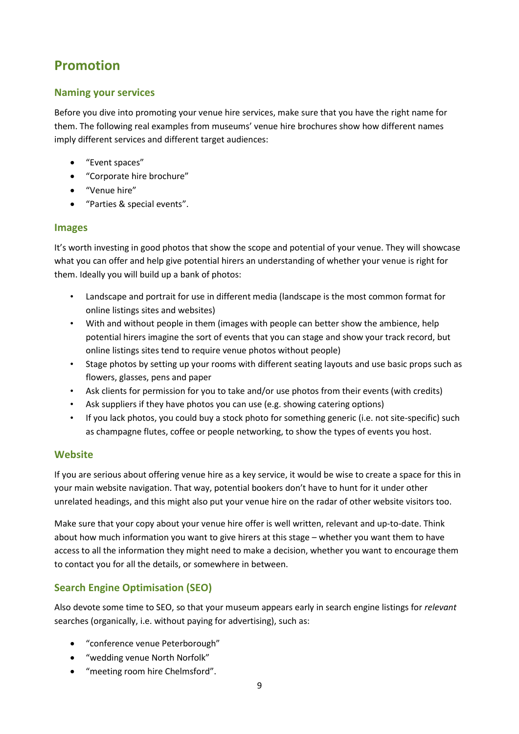# <span id="page-8-0"></span>**Promotion**

### **Naming your services**

Before you dive into promoting your venue hire services, make sure that you have the right name for them. The following real examples from museums' venue hire brochures show how different names imply different services and different target audiences:

- "Event spaces"
- "Corporate hire brochure"
- "Venue hire"
- "Parties & special events".

### **Images**

It's worth investing in good photos that show the scope and potential of your venue. They will showcase what you can offer and help give potential hirers an understanding of whether your venue is right for them. Ideally you will build up a bank of photos:

- Landscape and portrait for use in different media (landscape is the most common format for online listings sites and websites)
- With and without people in them (images with people can better show the ambience, help potential hirers imagine the sort of events that you can stage and show your track record, but online listings sites tend to require venue photos without people)
- Stage photos by setting up your rooms with different seating layouts and use basic props such as flowers, glasses, pens and paper
- Ask clients for permission for you to take and/or use photos from their events (with credits)
- Ask suppliers if they have photos you can use (e.g. showing catering options)
- If you lack photos, you could buy a stock photo for something generic (i.e. not site-specific) such as champagne flutes, coffee or people networking, to show the types of events you host.

### **Website**

If you are serious about offering venue hire as a key service, it would be wise to create a space for this in your main website navigation. That way, potential bookers don't have to hunt for it under other unrelated headings, and this might also put your venue hire on the radar of other website visitors too.

Make sure that your copy about your venue hire offer is well written, relevant and up-to-date. Think about how much information you want to give hirers at this stage – whether you want them to have access to all the information they might need to make a decision, whether you want to encourage them to contact you for all the details, or somewhere in between.

### **Search Engine Optimisation (SEO)**

Also devote some time to SEO, so that your museum appears early in search engine listings for *relevant* searches (organically, i.e. without paying for advertising), such as:

- "conference venue Peterborough"
- "wedding venue North Norfolk"
- "meeting room hire Chelmsford".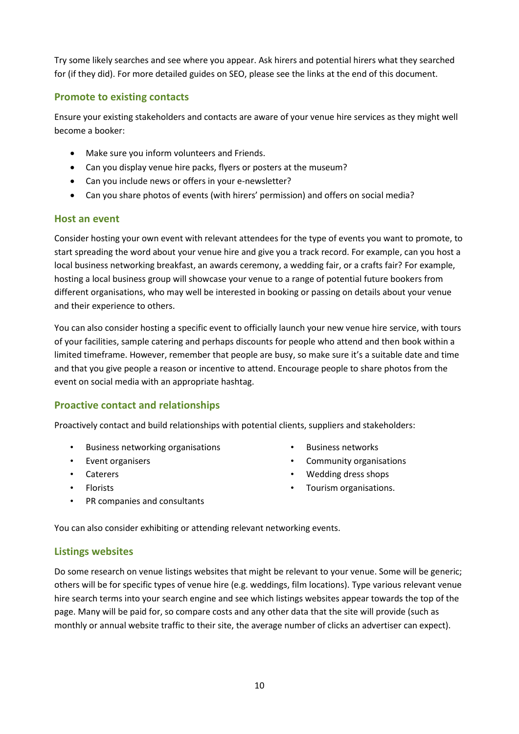Try some likely searches and see where you appear. Ask hirers and potential hirers what they searched for (if they did). For more detailed guides on SEO, please see the links at the end of this document.

#### **Promote to existing contacts**

Ensure your existing stakeholders and contacts are aware of your venue hire services as they might well become a booker:

- Make sure you inform volunteers and Friends.
- Can you display venue hire packs, flyers or posters at the museum?
- Can you include news or offers in your e-newsletter?
- Can you share photos of events (with hirers' permission) and offers on social media?

#### **Host an event**

Consider hosting your own event with relevant attendees for the type of events you want to promote, to start spreading the word about your venue hire and give you a track record. For example, can you host a local business networking breakfast, an awards ceremony, a wedding fair, or a crafts fair? For example, hosting a local business group will showcase your venue to a range of potential future bookers from different organisations, who may well be interested in booking or passing on details about your venue and their experience to others.

You can also consider hosting a specific event to officially launch your new venue hire service, with tours of your facilities, sample catering and perhaps discounts for people who attend and then book within a limited timeframe. However, remember that people are busy, so make sure it's a suitable date and time and that you give people a reason or incentive to attend. Encourage people to share photos from the event on social media with an appropriate hashtag.

### **Proactive contact and relationships**

Proactively contact and build relationships with potential clients, suppliers and stakeholders:

- Business networking organisations
- Event organisers
- Caterers
- Florists
- PR companies and consultants
- Business networks
- Community organisations
- Wedding dress shops
- Tourism organisations.

You can also consider exhibiting or attending relevant networking events.

### **Listings websites**

Do some research on venue listings websites that might be relevant to your venue. Some will be generic; others will be for specific types of venue hire (e.g. weddings, film locations). Type various relevant venue hire search terms into your search engine and see which listings websites appear towards the top of the page. Many will be paid for, so compare costs and any other data that the site will provide (such as monthly or annual website traffic to their site, the average number of clicks an advertiser can expect).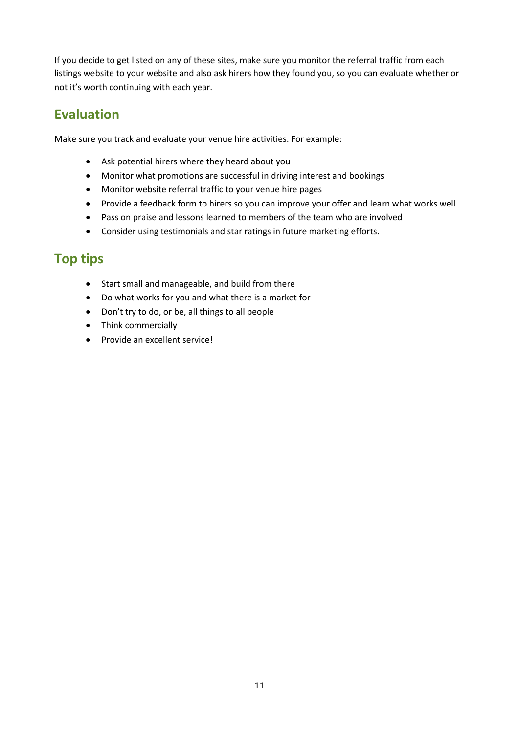If you decide to get listed on any of these sites, make sure you monitor the referral traffic from each listings website to your website and also ask hirers how they found you, so you can evaluate whether or not it's worth continuing with each year.

### <span id="page-10-0"></span>**Evaluation**

Make sure you track and evaluate your venue hire activities. For example:

- Ask potential hirers where they heard about you
- Monitor what promotions are successful in driving interest and bookings
- Monitor website referral traffic to your venue hire pages
- Provide a feedback form to hirers so you can improve your offer and learn what works well
- Pass on praise and lessons learned to members of the team who are involved
- Consider using testimonials and star ratings in future marketing efforts.

## <span id="page-10-1"></span>**Top tips**

- Start small and manageable, and build from there
- Do what works for you and what there is a market for
- Don't try to do, or be, all things to all people
- Think commercially
- Provide an excellent service!